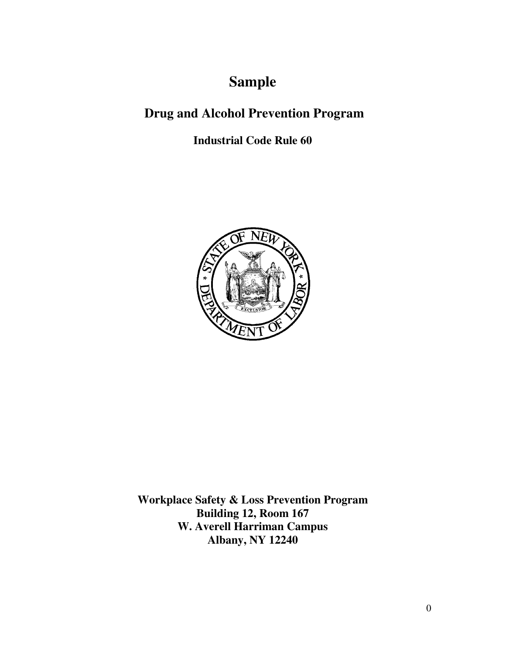# **Sample**

## **Drug and Alcohol Prevention Program**

## **Industrial Code Rule 60**



**Workplace Safety & Loss Prevention Program Building 12, Room 167 W. Averell Harriman Campus Albany, NY 12240**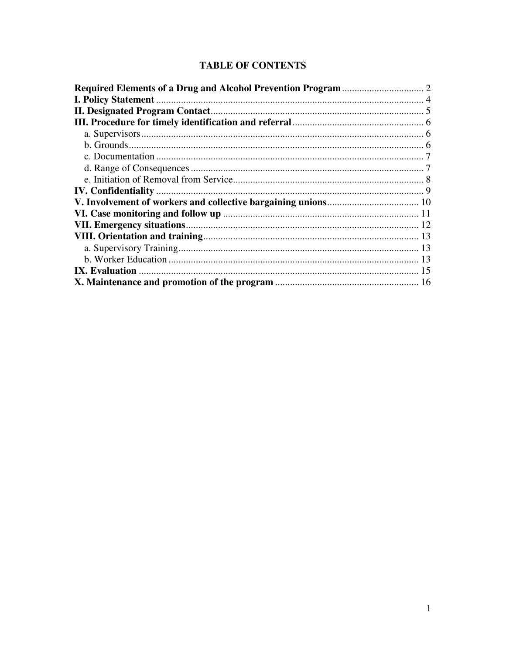### **TABLE OF CONTENTS**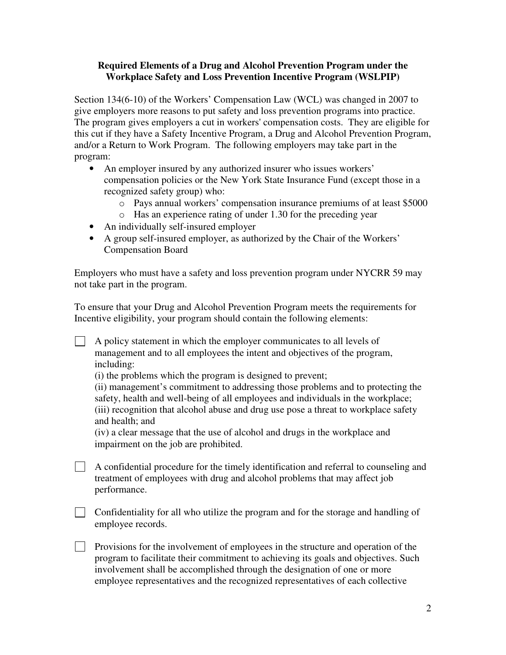#### **Required Elements of a Drug and Alcohol Prevention Program under the Workplace Safety and Loss Prevention Incentive Program (WSLPIP)**

Section 134(6-10) of the Workers' Compensation Law (WCL) was changed in 2007 to give employers more reasons to put safety and loss prevention programs into practice. The program gives employers a cut in workers' compensation costs. They are eligible for this cut if they have a Safety Incentive Program, a Drug and Alcohol Prevention Program, and/or a Return to Work Program. The following employers may take part in the program:

- An employer insured by any authorized insurer who issues workers' compensation policies or the New York State Insurance Fund (except those in a recognized safety group) who:
	- o Pays annual workers' compensation insurance premiums of at least \$5000
	- o Has an experience rating of under 1.30 for the preceding year
- An individually self-insured employer
- A group self-insured employer, as authorized by the Chair of the Workers' Compensation Board

Employers who must have a safety and loss prevention program under NYCRR 59 may not take part in the program.

To ensure that your Drug and Alcohol Prevention Program meets the requirements for Incentive eligibility, your program should contain the following elements:

 $\Box$  A policy statement in which the employer communicates to all levels of management and to all employees the intent and objectives of the program, including:

(i) the problems which the program is designed to prevent;

(ii) management's commitment to addressing those problems and to protecting the safety, health and well-being of all employees and individuals in the workplace; (iii) recognition that alcohol abuse and drug use pose a threat to workplace safety and health; and

(iv) a clear message that the use of alcohol and drugs in the workplace and impairment on the job are prohibited.

 $\Box$  A confidential procedure for the timely identification and referral to counseling and treatment of employees with drug and alcohol problems that may affect job performance.

Confidentiality for all who utilize the program and for the storage and handling of employee records.

Provisions for the involvement of employees in the structure and operation of the program to facilitate their commitment to achieving its goals and objectives. Such involvement shall be accomplished through the designation of one or more employee representatives and the recognized representatives of each collective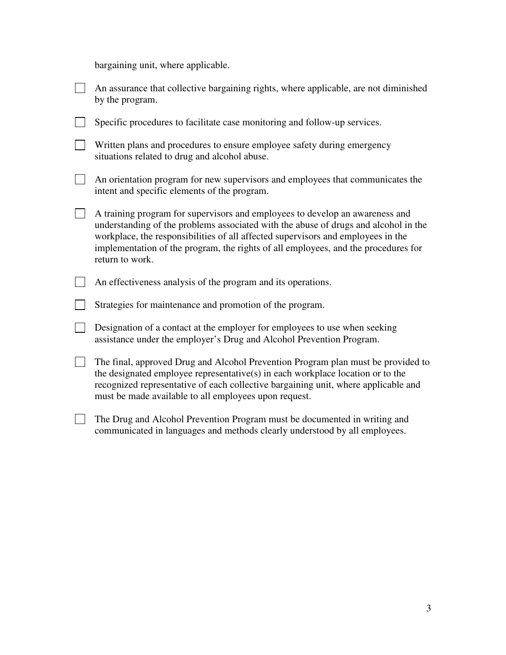bargaining unit, where applicable.

| An assurance that collective bargaining rights, where applicable, are not diminished<br>by the program.                                                                                                                                                                                                                                                          |
|------------------------------------------------------------------------------------------------------------------------------------------------------------------------------------------------------------------------------------------------------------------------------------------------------------------------------------------------------------------|
| Specific procedures to facilitate case monitoring and follow-up services.                                                                                                                                                                                                                                                                                        |
| Written plans and procedures to ensure employee safety during emergency<br>situations related to drug and alcohol abuse.                                                                                                                                                                                                                                         |
| An orientation program for new supervisors and employees that communicates the<br>intent and specific elements of the program.                                                                                                                                                                                                                                   |
| A training program for supervisors and employees to develop an awareness and<br>understanding of the problems associated with the abuse of drugs and alcohol in the<br>workplace, the responsibilities of all affected supervisors and employees in the<br>implementation of the program, the rights of all employees, and the procedures for<br>return to work. |
| An effectiveness analysis of the program and its operations.                                                                                                                                                                                                                                                                                                     |
| Strategies for maintenance and promotion of the program.                                                                                                                                                                                                                                                                                                         |
| Designation of a contact at the employer for employees to use when seeking<br>assistance under the employer's Drug and Alcohol Prevention Program.                                                                                                                                                                                                               |
| The final, approved Drug and Alcohol Prevention Program plan must be provided to<br>the designated employee representative(s) in each workplace location or to the<br>recognized representative of each collective bargaining unit, where applicable and<br>must be made available to all employees upon request.                                                |
| The Drug and Alcohol Prevention Program must be documented in writing and                                                                                                                                                                                                                                                                                        |

communicated in languages and methods clearly understood by all employees.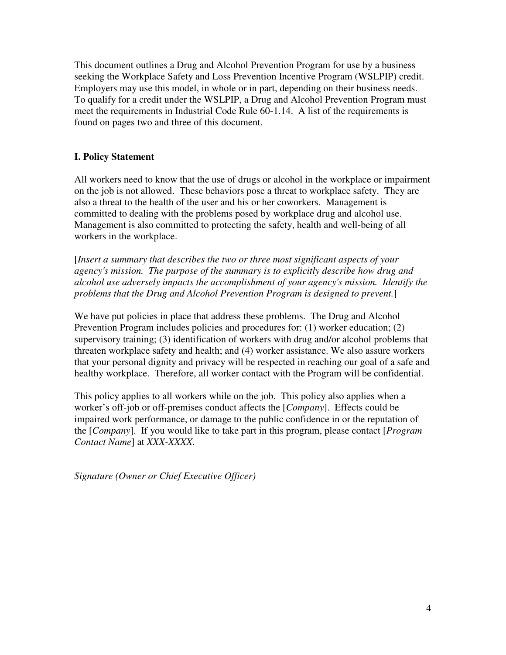This document outlines a Drug and Alcohol Prevention Program for use by a business seeking the Workplace Safety and Loss Prevention Incentive Program (WSLPIP) credit. Employers may use this model, in whole or in part, depending on their business needs. To qualify for a credit under the WSLPIP, a Drug and Alcohol Prevention Program must meet the requirements in Industrial Code Rule 60-1.14. A list of the requirements is found on pages two and three of this document.

#### **I. Policy Statement**

All workers need to know that the use of drugs or alcohol in the workplace or impairment on the job is not allowed. These behaviors pose a threat to workplace safety. They are also a threat to the health of the user and his or her coworkers. Management is committed to dealing with the problems posed by workplace drug and alcohol use. Management is also committed to protecting the safety, health and well-being of all workers in the workplace.

[*Insert a summary that describes the two or three most significant aspects of your agency's mission. The purpose of the summary is to explicitly describe how drug and alcohol use adversely impacts the accomplishment of your agency's mission. Identify the problems that the Drug and Alcohol Prevention Program is designed to prevent.*]

We have put policies in place that address these problems. The Drug and Alcohol Prevention Program includes policies and procedures for: (1) worker education; (2) supervisory training; (3) identification of workers with drug and/or alcohol problems that threaten workplace safety and health; and (4) worker assistance. We also assure workers that your personal dignity and privacy will be respected in reaching our goal of a safe and healthy workplace. Therefore, all worker contact with the Program will be confidential.

This policy applies to all workers while on the job. This policy also applies when a worker's off-job or off-premises conduct affects the [*Company*]. Effects could be impaired work performance, or damage to the public confidence in or the reputation of the [*Company*]. If you would like to take part in this program, please contact [*Program Contact Name*] at *XXX-XXXX*.

*Signature (Owner or Chief Executive Officer)*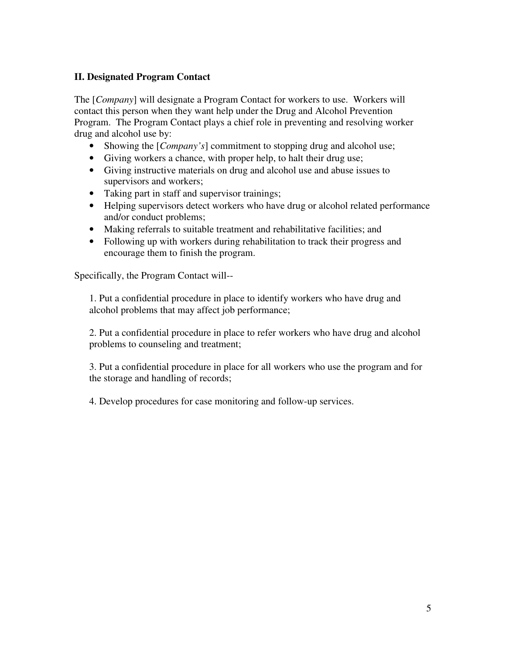#### **II. Designated Program Contact**

The [*Company*] will designate a Program Contact for workers to use. Workers will contact this person when they want help under the Drug and Alcohol Prevention Program. The Program Contact plays a chief role in preventing and resolving worker drug and alcohol use by:

- Showing the [*Company's*] commitment to stopping drug and alcohol use;
- Giving workers a chance, with proper help, to halt their drug use;
- Giving instructive materials on drug and alcohol use and abuse issues to supervisors and workers;
- Taking part in staff and supervisor trainings;
- Helping supervisors detect workers who have drug or alcohol related performance and/or conduct problems;
- Making referrals to suitable treatment and rehabilitative facilities; and
- Following up with workers during rehabilitation to track their progress and encourage them to finish the program.

Specifically, the Program Contact will--

1. Put a confidential procedure in place to identify workers who have drug and alcohol problems that may affect job performance;

2. Put a confidential procedure in place to refer workers who have drug and alcohol problems to counseling and treatment;

3. Put a confidential procedure in place for all workers who use the program and for the storage and handling of records;

4. Develop procedures for case monitoring and follow-up services.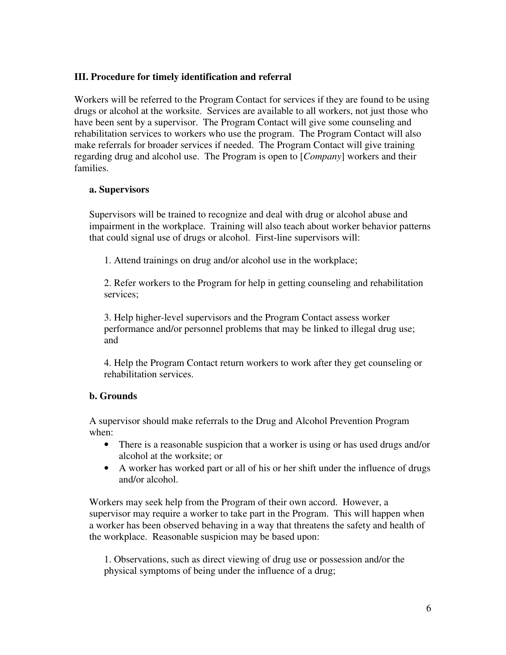#### **III. Procedure for timely identification and referral**

Workers will be referred to the Program Contact for services if they are found to be using drugs or alcohol at the worksite. Services are available to all workers, not just those who have been sent by a supervisor. The Program Contact will give some counseling and rehabilitation services to workers who use the program. The Program Contact will also make referrals for broader services if needed. The Program Contact will give training regarding drug and alcohol use. The Program is open to [*Company*] workers and their families.

#### **a. Supervisors**

Supervisors will be trained to recognize and deal with drug or alcohol abuse and impairment in the workplace. Training will also teach about worker behavior patterns that could signal use of drugs or alcohol. First-line supervisors will:

1. Attend trainings on drug and/or alcohol use in the workplace;

2. Refer workers to the Program for help in getting counseling and rehabilitation services;

3. Help higher-level supervisors and the Program Contact assess worker performance and/or personnel problems that may be linked to illegal drug use; and

4. Help the Program Contact return workers to work after they get counseling or rehabilitation services.

#### **b. Grounds**

A supervisor should make referrals to the Drug and Alcohol Prevention Program when:

- There is a reasonable suspicion that a worker is using or has used drugs and/or alcohol at the worksite; or
- A worker has worked part or all of his or her shift under the influence of drugs and/or alcohol.

Workers may seek help from the Program of their own accord. However, a supervisor may require a worker to take part in the Program. This will happen when a worker has been observed behaving in a way that threatens the safety and health of the workplace. Reasonable suspicion may be based upon:

1. Observations, such as direct viewing of drug use or possession and/or the physical symptoms of being under the influence of a drug;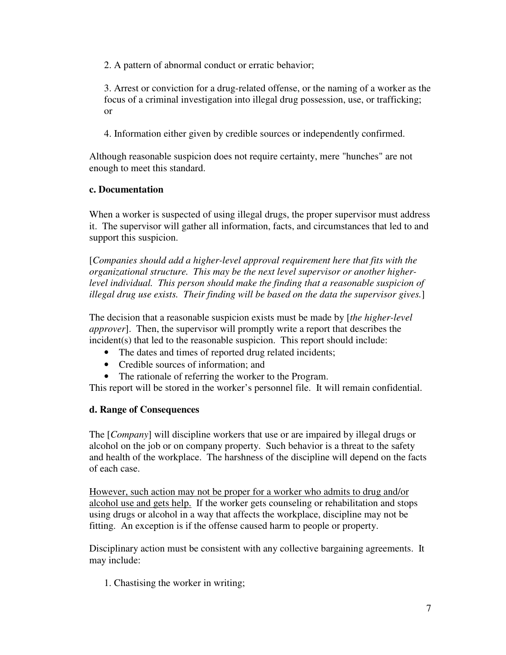2. A pattern of abnormal conduct or erratic behavior;

3. Arrest or conviction for a drug-related offense, or the naming of a worker as the focus of a criminal investigation into illegal drug possession, use, or trafficking; or

4. Information either given by credible sources or independently confirmed.

Although reasonable suspicion does not require certainty, mere "hunches" are not enough to meet this standard.

#### **c. Documentation**

When a worker is suspected of using illegal drugs, the proper supervisor must address it. The supervisor will gather all information, facts, and circumstances that led to and support this suspicion.

[*Companies should add a higher-level approval requirement here that fits with the organizational structure. This may be the next level supervisor or another higherlevel individual. This person should make the finding that a reasonable suspicion of illegal drug use exists. Their finding will be based on the data the supervisor gives.*]

The decision that a reasonable suspicion exists must be made by [*the higher-level approver*]. Then, the supervisor will promptly write a report that describes the incident(s) that led to the reasonable suspicion. This report should include:

- The dates and times of reported drug related incidents;
- Credible sources of information; and
- The rationale of referring the worker to the Program.

This report will be stored in the worker's personnel file. It will remain confidential.

#### **d. Range of Consequences**

The [*Company*] will discipline workers that use or are impaired by illegal drugs or alcohol on the job or on company property. Such behavior is a threat to the safety and health of the workplace. The harshness of the discipline will depend on the facts of each case.

However, such action may not be proper for a worker who admits to drug and/or alcohol use and gets help. If the worker gets counseling or rehabilitation and stops using drugs or alcohol in a way that affects the workplace, discipline may not be fitting. An exception is if the offense caused harm to people or property.

Disciplinary action must be consistent with any collective bargaining agreements. It may include:

1. Chastising the worker in writing;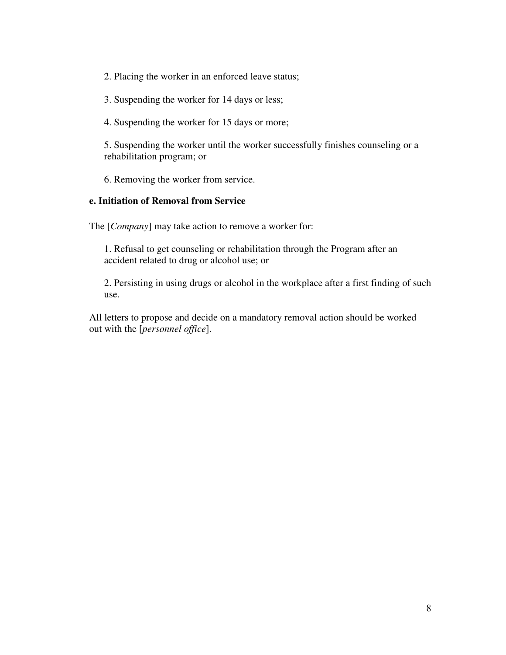2. Placing the worker in an enforced leave status;

3. Suspending the worker for 14 days or less;

4. Suspending the worker for 15 days or more;

5. Suspending the worker until the worker successfully finishes counseling or a rehabilitation program; or

6. Removing the worker from service.

#### **e. Initiation of Removal from Service**

The [*Company*] may take action to remove a worker for:

1. Refusal to get counseling or rehabilitation through the Program after an accident related to drug or alcohol use; or

2. Persisting in using drugs or alcohol in the workplace after a first finding of such use.

All letters to propose and decide on a mandatory removal action should be worked out with the [*personnel office*].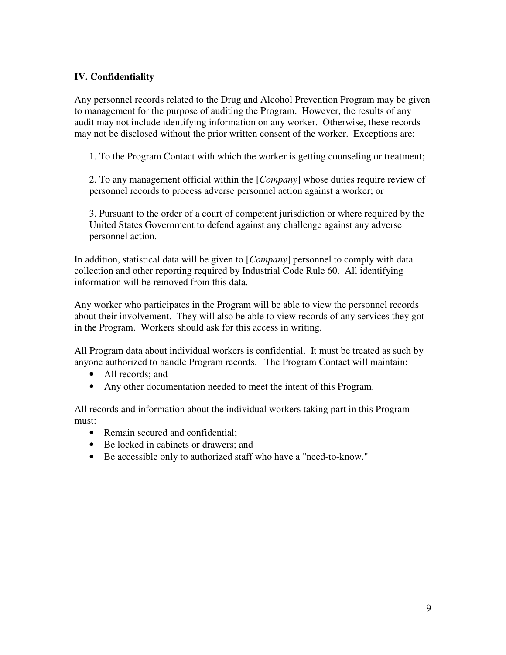#### **IV. Confidentiality**

Any personnel records related to the Drug and Alcohol Prevention Program may be given to management for the purpose of auditing the Program. However, the results of any audit may not include identifying information on any worker. Otherwise, these records may not be disclosed without the prior written consent of the worker. Exceptions are:

1. To the Program Contact with which the worker is getting counseling or treatment;

2. To any management official within the [*Company*] whose duties require review of personnel records to process adverse personnel action against a worker; or

3. Pursuant to the order of a court of competent jurisdiction or where required by the United States Government to defend against any challenge against any adverse personnel action.

In addition, statistical data will be given to [*Company*] personnel to comply with data collection and other reporting required by Industrial Code Rule 60. All identifying information will be removed from this data.

Any worker who participates in the Program will be able to view the personnel records about their involvement. They will also be able to view records of any services they got in the Program. Workers should ask for this access in writing.

All Program data about individual workers is confidential. It must be treated as such by anyone authorized to handle Program records. The Program Contact will maintain:

- All records: and
- Any other documentation needed to meet the intent of this Program.

All records and information about the individual workers taking part in this Program must:

- Remain secured and confidential;
- Be locked in cabinets or drawers; and
- Be accessible only to authorized staff who have a "need-to-know."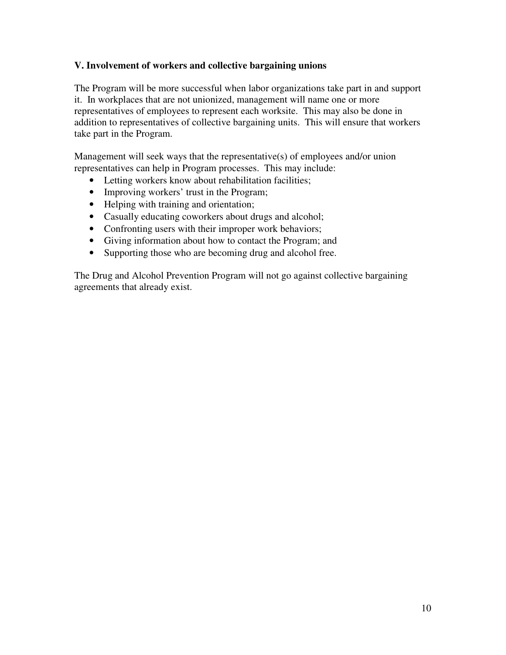#### **V. Involvement of workers and collective bargaining unions**

The Program will be more successful when labor organizations take part in and support it. In workplaces that are not unionized, management will name one or more representatives of employees to represent each worksite. This may also be done in addition to representatives of collective bargaining units. This will ensure that workers take part in the Program.

Management will seek ways that the representative(s) of employees and/or union representatives can help in Program processes. This may include:

- Letting workers know about rehabilitation facilities;
- Improving workers' trust in the Program;
- Helping with training and orientation;
- Casually educating coworkers about drugs and alcohol;
- Confronting users with their improper work behaviors;
- Giving information about how to contact the Program; and
- Supporting those who are becoming drug and alcohol free.

The Drug and Alcohol Prevention Program will not go against collective bargaining agreements that already exist.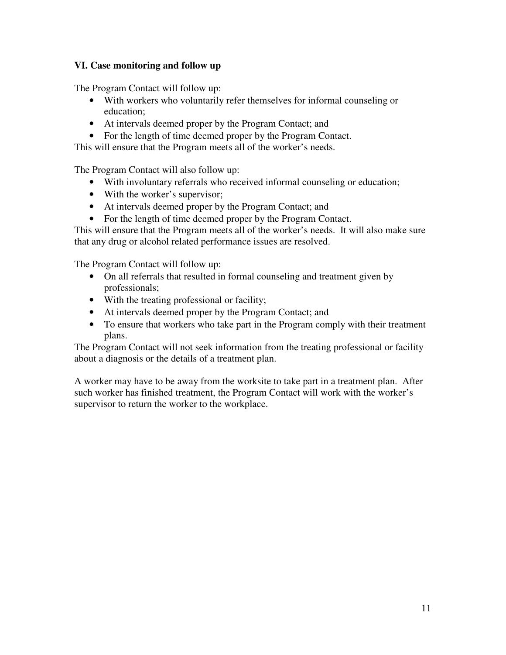#### **VI. Case monitoring and follow up**

The Program Contact will follow up:

- With workers who voluntarily refer themselves for informal counseling or education;
- At intervals deemed proper by the Program Contact; and
- For the length of time deemed proper by the Program Contact.

This will ensure that the Program meets all of the worker's needs.

The Program Contact will also follow up:

- With involuntary referrals who received informal counseling or education;
- With the worker's supervisor;
- At intervals deemed proper by the Program Contact; and
- For the length of time deemed proper by the Program Contact.

This will ensure that the Program meets all of the worker's needs. It will also make sure that any drug or alcohol related performance issues are resolved.

The Program Contact will follow up:

- On all referrals that resulted in formal counseling and treatment given by professionals;
- With the treating professional or facility;
- At intervals deemed proper by the Program Contact; and
- To ensure that workers who take part in the Program comply with their treatment plans.

The Program Contact will not seek information from the treating professional or facility about a diagnosis or the details of a treatment plan.

A worker may have to be away from the worksite to take part in a treatment plan. After such worker has finished treatment, the Program Contact will work with the worker's supervisor to return the worker to the workplace.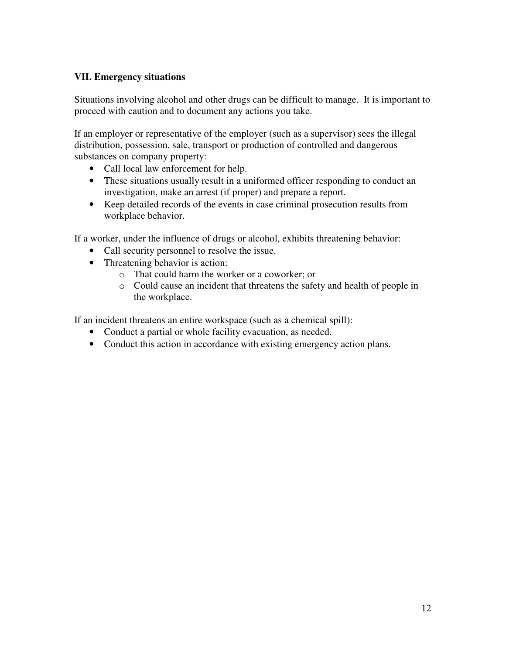#### **VII. Emergency situations**

Situations involving alcohol and other drugs can be difficult to manage. It is important to proceed with caution and to document any actions you take.

If an employer or representative of the employer (such as a supervisor) sees the illegal distribution, possession, sale, transport or production of controlled and dangerous substances on company property:

- Call local law enforcement for help.
- These situations usually result in a uniformed officer responding to conduct an investigation, make an arrest (if proper) and prepare a report.
- Keep detailed records of the events in case criminal prosecution results from workplace behavior.

If a worker, under the influence of drugs or alcohol, exhibits threatening behavior:

- Call security personnel to resolve the issue.
- Threatening behavior is action:
	- o That could harm the worker or a coworker; or
	- o Could cause an incident that threatens the safety and health of people in the workplace.

If an incident threatens an entire workspace (such as a chemical spill):

- Conduct a partial or whole facility evacuation, as needed.
- Conduct this action in accordance with existing emergency action plans.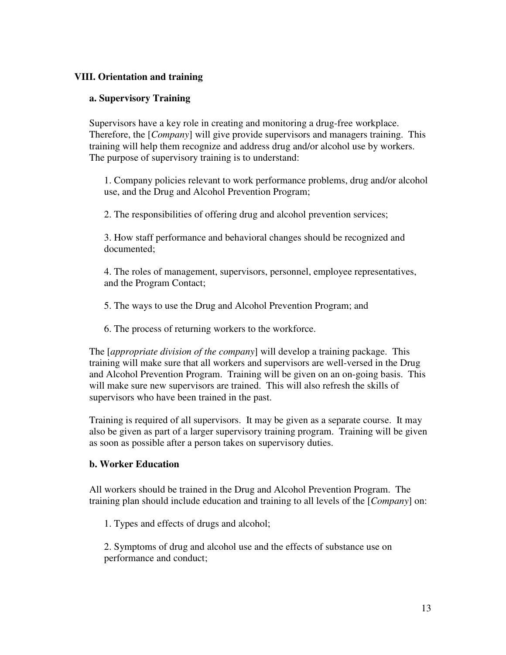#### **VIII. Orientation and training**

#### **a. Supervisory Training**

Supervisors have a key role in creating and monitoring a drug-free workplace. Therefore, the [*Company*] will give provide supervisors and managers training. This training will help them recognize and address drug and/or alcohol use by workers. The purpose of supervisory training is to understand:

1. Company policies relevant to work performance problems, drug and/or alcohol use, and the Drug and Alcohol Prevention Program;

2. The responsibilities of offering drug and alcohol prevention services;

3. How staff performance and behavioral changes should be recognized and documented;

4. The roles of management, supervisors, personnel, employee representatives, and the Program Contact;

5. The ways to use the Drug and Alcohol Prevention Program; and

6. The process of returning workers to the workforce.

The [*appropriate division of the company*] will develop a training package. This training will make sure that all workers and supervisors are well-versed in the Drug and Alcohol Prevention Program. Training will be given on an on-going basis. This will make sure new supervisors are trained. This will also refresh the skills of supervisors who have been trained in the past.

Training is required of all supervisors. It may be given as a separate course. It may also be given as part of a larger supervisory training program. Training will be given as soon as possible after a person takes on supervisory duties.

#### **b. Worker Education**

All workers should be trained in the Drug and Alcohol Prevention Program. The training plan should include education and training to all levels of the [*Company*] on:

1. Types and effects of drugs and alcohol;

2. Symptoms of drug and alcohol use and the effects of substance use on performance and conduct;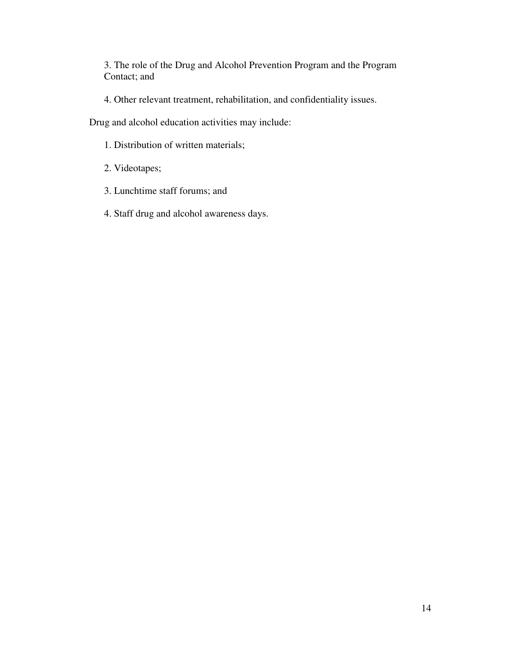3. The role of the Drug and Alcohol Prevention Program and the Program Contact; and

4. Other relevant treatment, rehabilitation, and confidentiality issues.

Drug and alcohol education activities may include:

- 1. Distribution of written materials;
- 2. Videotapes;
- 3. Lunchtime staff forums; and
- 4. Staff drug and alcohol awareness days.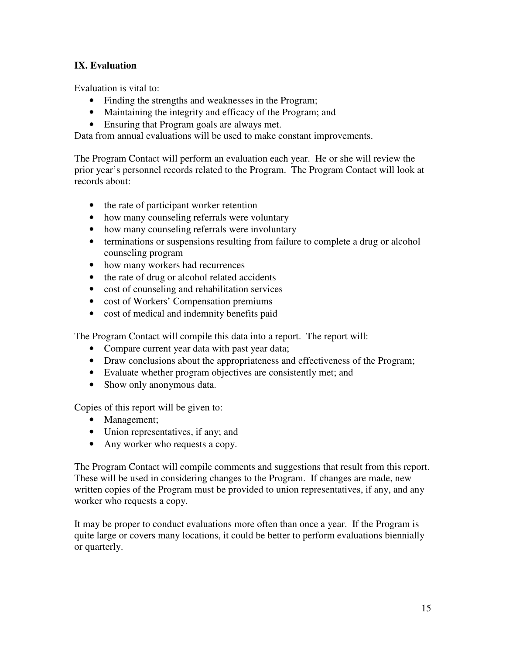#### **IX. Evaluation**

Evaluation is vital to:

- Finding the strengths and weaknesses in the Program;
- Maintaining the integrity and efficacy of the Program; and
- Ensuring that Program goals are always met.

Data from annual evaluations will be used to make constant improvements.

The Program Contact will perform an evaluation each year. He or she will review the prior year's personnel records related to the Program. The Program Contact will look at records about:

- the rate of participant worker retention
- how many counseling referrals were voluntary
- how many counseling referrals were involuntary
- terminations or suspensions resulting from failure to complete a drug or alcohol counseling program
- how many workers had recurrences
- the rate of drug or alcohol related accidents
- cost of counseling and rehabilitation services
- cost of Workers' Compensation premiums
- cost of medical and indemnity benefits paid

The Program Contact will compile this data into a report. The report will:

- Compare current year data with past year data;
- Draw conclusions about the appropriateness and effectiveness of the Program;
- Evaluate whether program objectives are consistently met; and
- Show only anonymous data.

Copies of this report will be given to:

- Management;
- Union representatives, if any; and
- Any worker who requests a copy.

The Program Contact will compile comments and suggestions that result from this report. These will be used in considering changes to the Program. If changes are made, new written copies of the Program must be provided to union representatives, if any, and any worker who requests a copy.

It may be proper to conduct evaluations more often than once a year. If the Program is quite large or covers many locations, it could be better to perform evaluations biennially or quarterly.